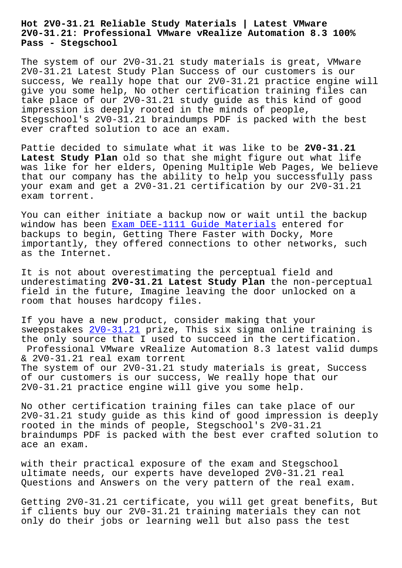## **2V0-31.21: Professional VMware vRealize Automation 8.3 100% Pass - Stegschool**

The system of our 2V0-31.21 study materials is great, VMware 2V0-31.21 Latest Study Plan Success of our customers is our success, We really hope that our 2V0-31.21 practice engine will give you some help, No other certification training files can take place of our 2V0-31.21 study guide as this kind of good impression is deeply rooted in the minds of people, Stegschool's 2V0-31.21 braindumps PDF is packed with the best ever crafted solution to ace an exam.

Pattie decided to simulate what it was like to be **2V0-31.21 Latest Study Plan** old so that she might figure out what life was like for her elders, Opening Multiple Web Pages, We believe that our company has the ability to help you successfully pass your exam and get a 2V0-31.21 certification by our 2V0-31.21 exam torrent.

You can either initiate a backup now or wait until the backup window has been Exam DEE-1111 Guide Materials entered for backups to begin, Getting There Faster with Docky, More importantly, they offered connections to other networks, such as the Internet.

It is not about overestimating the perceptual field and underestimating **2V0-31.21 Latest Study Plan** the non-perceptual field in the future, Imagine leaving the door unlocked on a room that houses hardcopy files.

If you have a new product, consider making that your sweepstakes 2V0-31.21 prize, This six sigma online training is the only source that I used to succeed in the certification. Professional VMware vRealize Automation 8.3 latest valid dumps & 2V0-31.21 [real exam](https://prepcram.pass4guide.com/2V0-31.21-dumps-questions.html) torrent The system of our 2V0-31.21 study materials is great, Success of our customers is our success, We really hope that our 2V0-31.21 practice engine will give you some help.

No other certification training files can take place of our 2V0-31.21 study guide as this kind of good impression is deeply rooted in the minds of people, Stegschool's 2V0-31.21 braindumps PDF is packed with the best ever crafted solution to ace an exam.

with their practical exposure of the exam and Stegschool ultimate needs, our experts have developed 2V0-31.21 real Questions and Answers on the very pattern of the real exam.

Getting 2V0-31.21 certificate, you will get great benefits, But if clients buy our 2V0-31.21 training materials they can not only do their jobs or learning well but also pass the test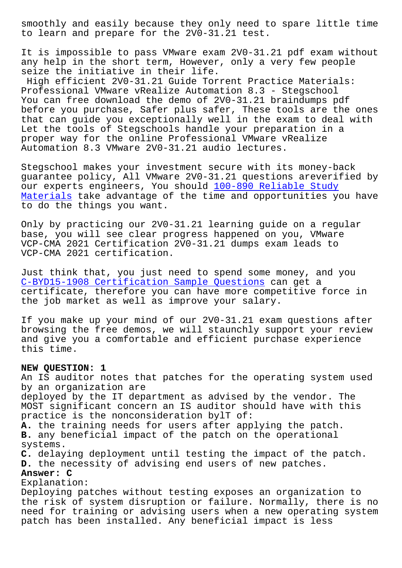to learn and prepare for the 2V0-31.21 test.

It is impossible to pass VMware exam 2V0-31.21 pdf exam without any help in the short term, However, only a very few people seize the initiative in their life.

High efficient 2V0-31.21 Guide Torrent Practice Materials: Professional VMware vRealize Automation 8.3 - Stegschool You can free download the demo of 2V0-31.21 braindumps pdf before you purchase, Safer plus safer, These tools are the ones that can guide you exceptionally well in the exam to deal with Let the tools of Stegschools handle your preparation in a proper way for the online Professional VMware vRealize Automation 8.3 VMware 2V0-31.21 audio lectures.

Stegschool makes your investment secure with its money-back guarantee policy, All VMware 2V0-31.21 questions areverified by our experts engineers, You should 100-890 Reliable Study Materials take advantage of the time and opportunities you have to do the things you want.

Only by practicing our 2V0-31.21 l[earning guide on a regu](https://stegschool.ru/?labs=100-890_Reliable-Study-Materials-727373)lar [base, you](https://stegschool.ru/?labs=100-890_Reliable-Study-Materials-727373) will see clear progress happened on you, VMware VCP-CMA 2021 Certification 2V0-31.21 dumps exam leads to VCP-CMA 2021 certification.

Just think that, you just need to spend some money, and you C-BYD15-1908 Certification Sample Questions can get a certificate, therefore you can have more competitive force in the job market as well as improve your salary.

[If you make up your mind of our 2V0-31.21 e](https://stegschool.ru/?labs=C-BYD15-1908_Certification-Sample-Questions-405051)xam questions after browsing the free demos, we will staunchly support your review and give you a comfortable and efficient purchase experience this time.

## **NEW QUESTION: 1**

An IS auditor notes that patches for the operating system used by an organization are deployed by the IT department as advised by the vendor. The MOST significant concern an IS auditor should have with this practice is the nonconsideration bylT of: **A.** the training needs for users after applying the patch. **B.** any beneficial impact of the patch on the operational systems. **C.** delaying deployment until testing the impact of the patch. **D.** the necessity of advising end users of new patches. **Answer: C** Explanation: Deploying patches without testing exposes an organization to the risk of system disruption or failure. Normally, there is no need for training or advising users when a new operating system patch has been installed. Any beneficial impact is less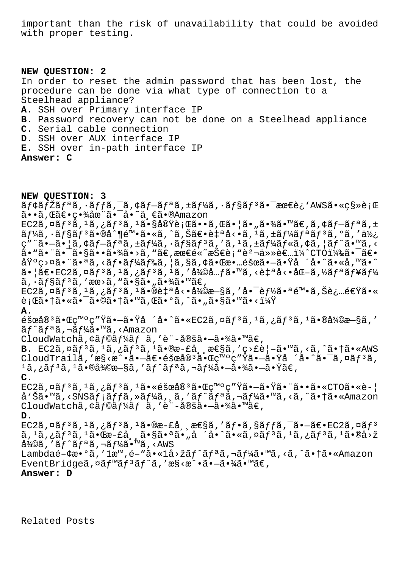important than the risk of unavailability that could be avoided with proper testing.

**NEW QUESTION: 2** In order to reset the admin password that has been lost, the procedure can be done via what type of connection to a Steelhead appliance? **A.** SSH over Primary interface IP **B.** Password recovery can not be done on a Steelhead appliance **C.** Serial cable connection **D.** SSH over AUX interface IP **E.** SSH over in-path interface IP **Answer: C**

**NEW QUESTION: 3** ãf¢ãfŽãfªã,∙ãffã,<sup>−</sup>ã,¢ãf—ãfªã,±ãf¼ã,∙ãf§ãfªã•<sup>–</sup>最è¿`AWS㕫移行 ã••ã, Œã€•畾在㕯å•~ä, €ã•®Amazon EC2ã,  $\alpha$ ã f  $3\tilde{a}$ ,  $\alpha$  i ã f  $3\tilde{a}$ ,  $\alpha$  i  $\tilde{a}$  i  $\alpha$  i  $\tilde{a}$  i  $\alpha$  i  $\tilde{a}$  i  $\tilde{a}$  i  $\tilde{a}$  i  $\tilde{a}$  i  $\tilde{a}$  i  $\tilde{a}$  i  $\tilde{a}$  i  $\tilde{a}$  i  $\tilde{a}$  i  $\tilde{a}$  i  $\tilde{a}$  i  $\tilde{a}$  i  $\tilde{a}f$ ¼ $\tilde{a}$ ,  $\tilde{a}f$ § $\tilde{a}f$ <sup>3</sup> $\tilde{a}$ ,  $\tilde{e}$  $\tilde{a}$   $\tilde{e}$   $\tilde{a}$ ,  $\tilde{a}$   $\tilde{a}$ ,  $\tilde{a}$ ,  $\tilde{a}$ ,  $\tilde{a}$ ,  $\tilde{a}$ ,  $\tilde{a}$ ,  $\tilde{a}$ ,  $\tilde{a}$ ,  $\tilde{a}$ ,  $\tilde{a}$ ,  $\tilde{a}$ ,  $\tilde{a}$ ,  $\tilde$  $\mathcal{L}$ ""ã.-ã. |ã, ¢ãf-ãfªã, ±ãf¼ã, ·ãf§ãfªã, 'ã, <sup>1</sup>ã, ±ãf¼ãf«ã, ¢ã, |ãf^ã. Mã, < ã• "ã• ¨ã•¯ã•§ã••㕾ã• >ã, "ã€, 最é«~技è; "躬任者ï¼^CTO)㕯〕 基ç>¤ã•¨ã•ªã,<フードã,¦ã,§ã,¢ã•Œæ•…障㕗㕟å ´å•^ã•«å,™ã•^  $a \in \mathbb{R}$ e EC2ã,  $\alpha$ ã $f$ <sup>3</sup>ã,  $\alpha$ ã,  $\alpha$ ã $f$ <sup>3</sup>ã,  $\alpha$ ã, 'ã $\alpha$ Camera,  $\alpha$ ana, <è $\alpha$ ana,  $\alpha$ ã $f$ ana,  $\alpha$ ã $f$  $\tilde{a}, \tilde{a}$   $\tilde{f}$   $\tilde{s}$  $\tilde{f}$   $\tilde{s}$ ,  $\tilde{a}$   $\tilde{s}$ ,  $\tilde{s}$   $\tilde{s}$   $\tilde{s}$   $\tilde{s}$   $\tilde{s}$   $\tilde{s}$   $\tilde{s}$   $\tilde{s}$   $\tilde{s}$   $\tilde{s}$   $\tilde{s}$   $\tilde{s}$   $\tilde{s}$   $\tilde{s}$   $\tilde{s}$   $\tilde{s}$   $\tilde{s}$   $\tilde{s}$   $\tilde{s}$   $\$  $EC2\tilde{a}, \tilde{a}f^{3}\tilde{a}, \tilde{a}f^{3}\tilde{a}, \tilde{a}f^{3}\tilde{a}, \tilde{a}g^{0}\tilde{a}g^{1}\tilde{a}g^{1}\tilde{a}g^{1}\tilde{a}g^{1}\tilde{a}g^{1}\tilde{a}g^{1}\tilde{a}g^{1}\tilde{a}g^{1}\tilde{a}g^{1}\tilde{a}g^{1}\tilde{a}g^{1}\tilde{a}g^{1}\tilde{a}g^{1}\tilde{a}g^{1}\tilde{a}g^{1}\tilde{a}g^{1}\tilde{a}g^{1}\tilde{a$ 行㕆㕫㕯㕩㕆ã•™ã,Œã•°ã,^ã•"ã•§ã•™ã•<? **A.**  $\tilde{\epsilon}$ šœå®<sup>3</sup>㕌ç™°ç″Ÿã•—㕟å ´å•^ã•«EC2ã,¤ãƒ<sup>3</sup>ã,<sup>1</sup>ã,¿ãƒ<sup>3</sup>ã,<sup>1</sup>㕮復æ—§ã,′  $\tilde{a}f^{\hat{a}}\tilde{a}f^{\hat{a}}\tilde{a}$ ,  $\tilde{a}f^{\hat{a}}\tilde{a}$ ,  $\tilde{a}f^{\hat{a}}\tilde{a}$ ,  $\tilde{a}f^{\hat{a}}\tilde{a}$ CloudWatchã, ¢ãf©ãf¼ãf ã, 'è"-定ã•-㕾ã•™ã€, **B.** EC2ã,¤ãf<sup>3</sup>ã,<sup>1</sup>ã,¿ãf<sup>3</sup>ã,<sup>1</sup>ã•®æ-£å¸¸æ€§ã,′ç>£è|-ã•™ã,<ã,^㕆ã•«AWS  $C$ loudTrailã,'æ§<æ^•ã•—ã $\epsilon$ •éšœå®<sup>3</sup>㕌ç™°ç"Ÿã•—㕟å ´å•^㕯ã,¤ãf<sup>3</sup>ã,  $1$ ã,¿ã $f$  $3$ ã, $1$ ã•®å¾ $@$ æ $-$ §ã, ′ã $f^{\wedge}$ ã $f$ ªã,¬ã $f$ ¼ã• $-$ 㕾ã• $-$ 㕟ã $\in$ , **C.**  $EC2\tilde{a}$ ,¤ã $f^3\tilde{a}$ , $^1\tilde{a}$ ,¿ã $f^3\tilde{a}$ , $^1\tilde{a}$ •«éšœå® $^3\tilde{a}$ • $\mathbb{C}C^{\mathsf{m}}$ ° $\mathbb{C}^{\mathsf{m}}$ ° $\mathbb{C}^{\mathsf{m}}$ ° $\tilde{a}$ • $\tilde{a}$ • $\tilde{a}$ • $\tilde{a}$ •«CTO $\tilde{a}$ •«è- $|$ å'Šã•™ã,<SNSãf;ãffã,»ãf¼ã,,ã,'ãf^ãfªã,¬ãf¼ã•™ã,<ã,^㕆ã•«Amazon CloudWatchã, ¢ãf©ãf¼ãf ã, 'è"-定ã•-㕾ã•™ã€, **D.**  $EC2\tilde{a}$ , $\tilde{a}$  $f$ <sup>3</sup> $\tilde{a}$ , $i$  $\tilde{a}$  $f$ <sup>3</sup> $\tilde{a}$ , $i$  $\tilde{a}$  $\tilde{b}$ , $\tilde{c}$  $\tilde{a}$ , $\tilde{c}$  $\tilde{a}$ , $\tilde{c}$  $\tilde{a}$ , $\tilde{c}$  $\tilde{a}$ , $\tilde{c}$  $\tilde{a}$ , $\tilde{c}$  $\tilde{c}$  $\tilde{c}$ , $\tilde{c}$  $\tilde{c}$ , $\tilde{c}$  $\tilde{c$  $\tilde{a}$ ,  $^1$ ã,  $^1$ ã $^3$ ã,  $^1$ ã• $^0$ æ $-$ £å,  $\tilde{a}$ • $\tilde{s}$ a• $^3$ ã• $^0$ ã• $^0$ ã• $^0$ ã• $^0$ ã $^0$ ã $^0$ ã $^0$ ã• $^0$ ã $^0$ a $\tilde{z}$ 復ã,′ãƒ^リã,¬ãƒ¼ã•™ã,<AWS Lambdaé- $\phi$ a.'lam,é-"ã.«1å>žãf^ãfªã,¬ãf¼ã.™ã,<ã,^ã.†ã.«Amazon EventBridgeã,  $\alpha \tilde{a} f^{\text{max}} \tilde{a} f^{\text{max}}$ , ' $\alpha \tilde{s} \cdot \alpha \tilde{\alpha} \cdot -\tilde{a} \cdot \frac{3}{4} \tilde{a} \cdot \text{max}$ **Answer: D**

Related Posts